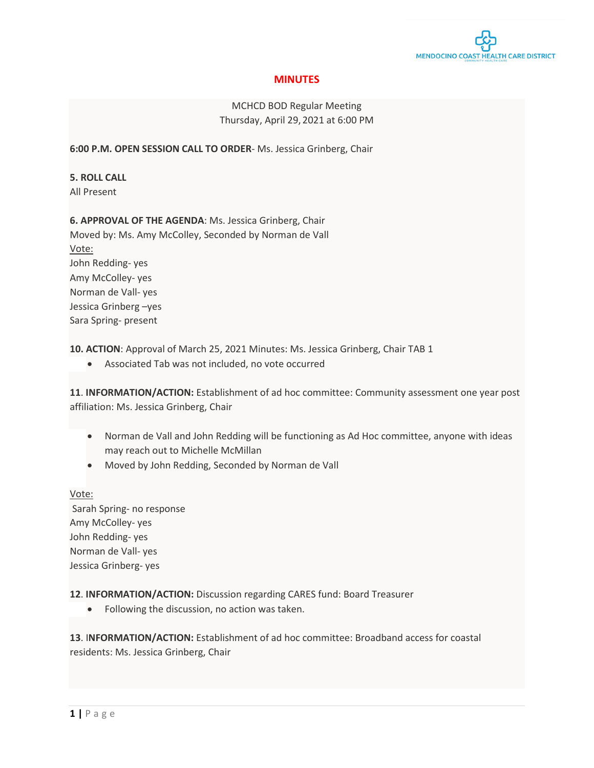

# **MINUTES**

# MCHCD BOD Regular Meeting Thursday, April 29, 2021 at 6:00 PM

**6:00 P.M. OPEN SESSION CALL TO ORDER**- Ms. Jessica Grinberg, Chair

**5. ROLL CALL** All Present

**6. APPROVAL OF THE AGENDA**: Ms. Jessica Grinberg, Chair Moved by: Ms. Amy McColley, Seconded by Norman de Vall Vote: John Redding- yes Amy McColley- yes Norman de Vall- yes Jessica Grinberg –yes Sara Spring- present

**10. ACTION**: Approval of March 25, 2021 Minutes: Ms. Jessica Grinberg, Chair TAB 1

• Associated Tab was not included, no vote occurred

**11**. **INFORMATION/ACTION:** Establishment of ad hoc committee: Community assessment one year post affiliation: Ms. Jessica Grinberg, Chair

- Norman de Vall and John Redding will be functioning as Ad Hoc committee, anyone with ideas may reach out to Michelle McMillan
- Moved by John Redding, Seconded by Norman de Vall

### Vote:

Sarah Spring- no response Amy McColley- yes John Redding- yes Norman de Vall- yes Jessica Grinberg- yes

**12**. **INFORMATION/ACTION:** Discussion regarding CARES fund: Board Treasurer

• Following the discussion, no action was taken.

**13**. I**NFORMATION/ACTION:** Establishment of ad hoc committee: Broadband access for coastal residents: Ms. Jessica Grinberg, Chair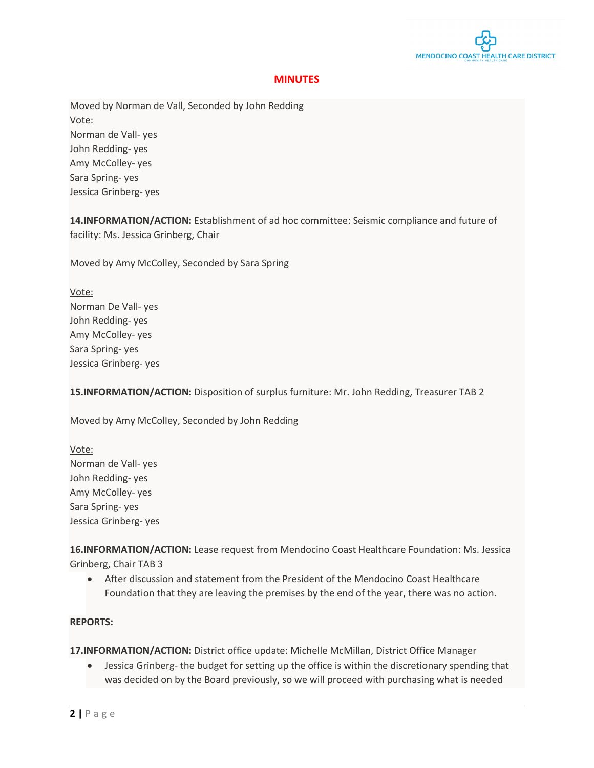

## **MINUTES**

Moved by Norman de Vall, Seconded by John Redding Vote: Norman de Vall- yes John Redding- yes Amy McColley- yes Sara Spring- yes Jessica Grinberg- yes

**14.INFORMATION/ACTION:** Establishment of ad hoc committee: Seismic compliance and future of facility: Ms. Jessica Grinberg, Chair

Moved by Amy McColley, Seconded by Sara Spring

Vote: Norman De Vall- yes John Redding- yes Amy McColley- yes Sara Spring- yes Jessica Grinberg- yes

**15.INFORMATION/ACTION:** Disposition of surplus furniture: Mr. John Redding, Treasurer TAB 2

Moved by Amy McColley, Seconded by John Redding

Vote: Norman de Vall- yes John Redding- yes Amy McColley- yes Sara Spring- yes Jessica Grinberg- yes

**16.INFORMATION/ACTION:** Lease request from Mendocino Coast Healthcare Foundation: Ms. Jessica Grinberg, Chair TAB 3

• After discussion and statement from the President of the Mendocino Coast Healthcare Foundation that they are leaving the premises by the end of the year, there was no action.

#### **REPORTS:**

**17.INFORMATION/ACTION:** District office update: Michelle McMillan, District Office Manager

• Jessica Grinberg- the budget for setting up the office is within the discretionary spending that was decided on by the Board previously, so we will proceed with purchasing what is needed